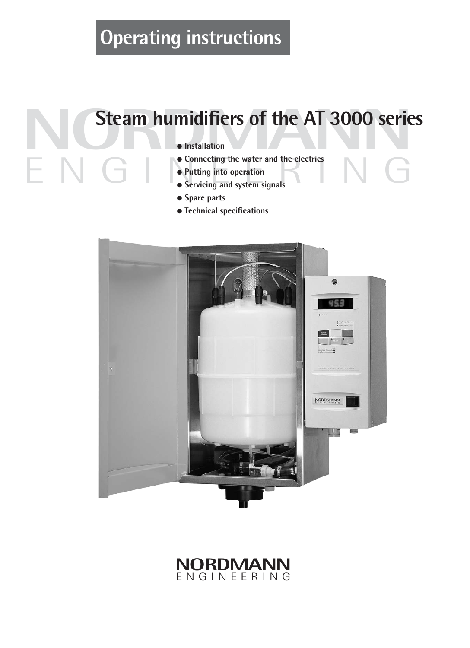# **Operating instructions**

# **Steam humidifiers of the AT 3000 serie**<br> **Connecting the water and the electrics Steam humidifiers of the AT 3000 series**

- **Installation**
- Connecting the water and the electrics<br>• Putting into operation<br>• Servicing and system signals ● **Connecting the water and the electrics**
	- **Putting into operation**
	- **Servicing and system signals**
	- **Spare parts**
	- **Technical specifications**



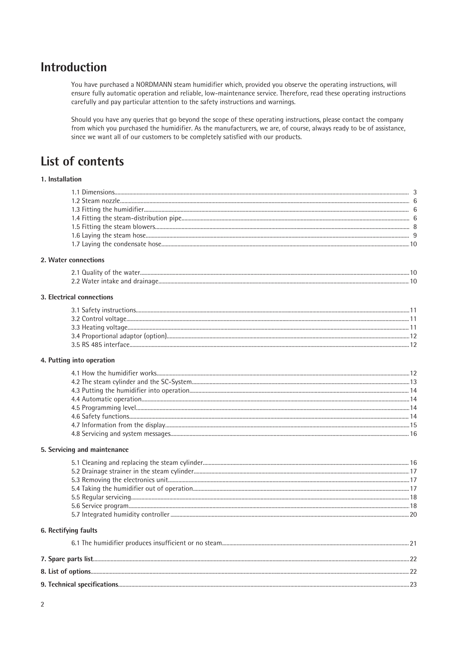# **Introduction**

You have purchased a NORDMANN steam humidifier which, provided you observe the operating instructions, will ensure fully automatic operation and reliable, low-maintenance service. Therefore, read these operating instructions carefully and pay particular attention to the safety instructions and warnings.

Should you have any queries that go beyond the scope of these operating instructions, please contact the company from which you purchased the humidifier. As the manufacturers, we are, of course, always ready to be of assistance, since we want all of our customers to be completely satisfied with our products.

# **List of contents**

### 1. Installation

### 2. Water connections

| −2-1 Ouali |  |
|------------|--|
| 22 Water   |  |

### 3. Electrical connections

### 4. Putting into operation

### 5. Servicing and maintenance

### 6. Rectifying faults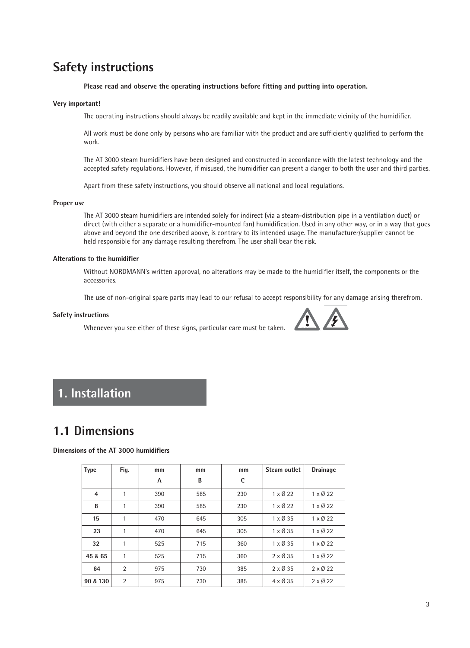# **Safety instructions**

**Please read and observe the operating instructions before fitting and putting into operation.**

#### **Very important!**

The operating instructions should always be readily available and kept in the immediate vicinity of the humidifier.

All work must be done only by persons who are familiar with the product and are sufficiently qualified to perform the work.

The AT 3000 steam humidifiers have been designed and constructed in accordance with the latest technology and the accepted safety regulations. However, if misused, the humidifier can present a danger to both the user and third parties.

Apart from these safety instructions, you should observe all national and local regulations.

#### **Proper use**

The AT 3000 steam humidifiers are intended solely for indirect (via a steam-distribution pipe in a ventilation duct) or direct (with either a separate or a humidifier-mounted fan) humidification. Used in any other way, or in a way that goes above and beyond the one described above, is contrary to its intended usage. The manufacturer/supplier cannot be held responsible for any damage resulting therefrom. The user shall bear the risk.

#### **Alterations to the humidifier**

Without NORDMANN's written approval, no alterations may be made to the humidifier itself, the components or the accessories.

The use of non-original spare parts may lead to our refusal to accept responsibility for any damage arising therefrom.

#### **Safety instructions**

Whenever you see either of these signs, particular care must be taken.



# **1. Installation**

# **1.1 Dimensions**

### **Dimensions of the AT 3000 humidifiers**

| <b>Type</b>    | Fig.           | mm  | mm  | mm  | Steam outlet            | <b>Drainage</b> |
|----------------|----------------|-----|-----|-----|-------------------------|-----------------|
|                |                | A   | B   | C   |                         |                 |
| $\overline{a}$ | 1              | 390 | 585 | 230 | $1 \times \emptyset$ 22 | $1 \times 0.22$ |
| 8              | 1              | 390 | 585 | 230 | $1 \times \emptyset$ 22 | $1 \times 0.22$ |
| 15             | 1              | 470 | 645 | 305 | $1 \times \emptyset$ 35 | $1 \times 0.22$ |
| 23             | 1              | 470 | 645 | 305 | $1 \times \emptyset$ 35 | $1 \times 0.22$ |
| 32             | $\mathbf{1}$   | 525 | 715 | 360 | $1 \times \emptyset$ 35 | $1 \times 0.22$ |
| 45 & 65        | 1              | 525 | 715 | 360 | $2 \times 0.35$         | $1 \times 0.22$ |
| 64             | $\overline{2}$ | 975 | 730 | 385 | $2 \times 0.35$         | $2 \times 0.22$ |
| 90 & 130       | $\overline{2}$ | 975 | 730 | 385 | $4 \times \emptyset$ 35 | $2 \times 0.22$ |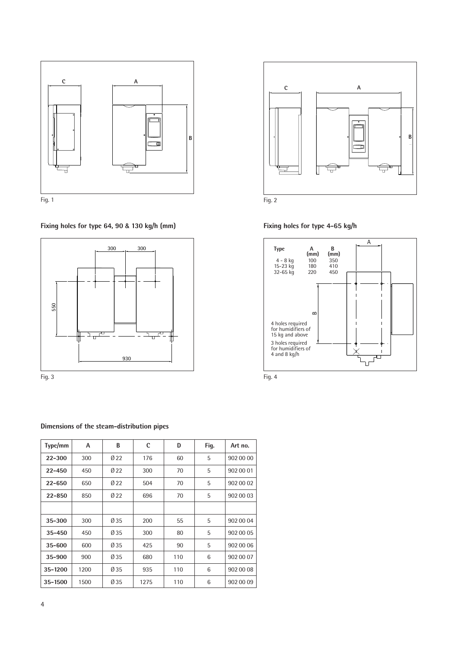

**Fixing holes for type 64, 90 & 130 kg/h (mm) Fixing holes for type 4-65 kg/h**



# **Dimensions of the steam-distribution pipes**

| Type/mm    | A    | B               | $\mathbf c$ | D   | Fig. | Art no.   |
|------------|------|-----------------|-------------|-----|------|-----------|
| $22 - 300$ | 300  | Ø <sub>22</sub> | 176         | 60  | 5    | 902 00 00 |
| $22 - 450$ | 450  | Ø <sub>22</sub> | 300         | 70  | 5    | 902 00 01 |
| $22 - 650$ | 650  | Ø <sub>22</sub> | 504         | 70  | 5    | 902 00 02 |
| $22 - 850$ | 850  | Ø 22            | 696         | 70  | 5    | 902 00 03 |
|            |      |                 |             |     |      |           |
| 35-300     | 300  | Ø 35            | 200         | 55  | 5    | 902 00 04 |
| $35 - 450$ | 450  | Ø 35            | 300         | 80  | 5    | 902 00 05 |
| $35 - 600$ | 600  | Ø 35            | 425         | 90  | 5    | 902 00 06 |
| 35-900     | 900  | Ø 35            | 680         | 110 | 6    | 902 00 07 |
| 35-1200    | 1200 | Ø 35            | 935         | 110 | 6    | 902 00 08 |
| 35-1500    | 1500 | Ø 35            | 1275        | 110 | 6    | 902 00 09 |







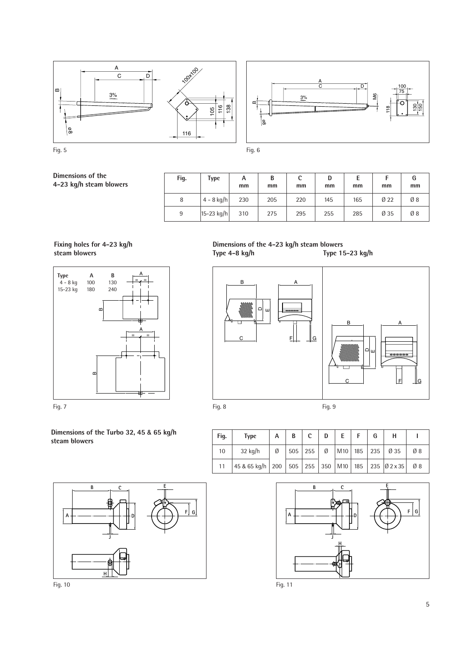





**Dimensions of the 4-23 kg/h steam blowers**

| Fig. | Type                     | А<br>mm | B<br>mm | c<br>mm | D<br>mm | mm  | mm     | G<br>mm |
|------|--------------------------|---------|---------|---------|---------|-----|--------|---------|
| 8    | $4 - 8$ kg/h             | 230     | 205     | 220     | 145     | 165 | $Ø$ 22 | Ø8      |
| 9    | $ 15 - 23 \text{ kg/h} $ | 310     | 275     | 295     | 255     | 285 | Ø 35   | Ø8      |

**Fixing holes for 4-23 kg/h steam blowers**





**Dimensions of the Turbo 32, 45 & 65 kg/h steam blowers**





| Fig. | <b>Type</b>                                                                                 | A | B | c | $D$ $E$ $F$ | G |                                       |    |
|------|---------------------------------------------------------------------------------------------|---|---|---|-------------|---|---------------------------------------|----|
| 10   | $32$ kg/h                                                                                   | Ø |   |   |             |   | $ 505 255 $ Ø   M10   185   235   Ø35 | Ø8 |
| 11   | 45 & 65 kg/h   200   505   255   350   M10   185   235   $\emptyset$ 2 x 35   $\emptyset$ 8 |   |   |   |             |   |                                       |    |



**B C A D E F G H J**

Fig. 10 Fig. 11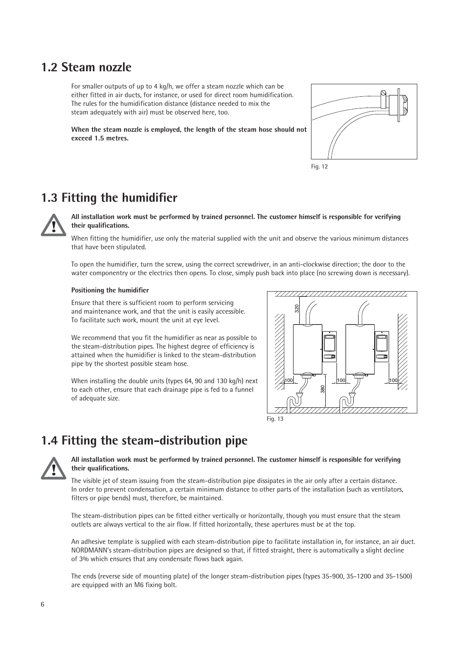# **1.2 Steam nozzle**

For smaller outputs of up to 4 kg/h, we offer a steam nozzle which can be either fitted in air ducts, for instance, or used for direct room humidification. The rules for the humidification distance (distance needed to mix the steam adequately with air) must be observed here, too.

**When the steam nozzle is employed, the length of the steam hose should not exceed 1.5 metres.**





# **1.3 Fitting the humidifier**



**All installation work must be performed by trained personnel. The customer himself is responsible for verifying their qualifications.**

When fitting the humidifier, use only the material supplied with the unit and observe the various minimum distances that have been stipulated.

To open the humidifier, turn the screw, using the correct screwdriver, in an anti-clockwise direction; the door to the water componentry or the electrics then opens. To close, simply push back into place (no screwing down is necessary).

### **Positioning the humidifier**

Ensure that there is sufficient room to perform servicing and maintenance work, and that the unit is easily accessible. To facilitate such work, mount the unit at eye level.

We recommend that you fit the humidifier as near as possible to the steam-distribution pipes. The highest degree of efficiency is attained when the humidifier is linked to the steam-distribution pipe by the shortest possible steam hose.

When installing the double units (types 64, 90 and 130 kg/h) next to each other, ensure that each drainage pipe is fed to a funnel of adequate size.



# **1.4 Fitting the steam-distribution pipe**



### **All installation work must be performed by trained personnel. The customer himself is responsible for verifying their qualifications.**

The visible jet of steam issuing from the steam-distribution pipe dissipates in the air only after a certain distance. In order to prevent condensation, a certain minimum distance to other parts of the installation (such as ventilators, filters or pipe bends) must, therefore, be maintained.

The steam-distribution pipes can be fitted either vertically or horizontally, though you must ensure that the steam outlets are always vertical to the air flow. If fitted horizontally, these apertures must be at the top.

An adhesive template is supplied with each steam-distribution pipe to facilitate installation in, for instance, an air duct. NORDMANN's steam-distribution pipes are designed so that, if fitted straight, there is automatically a slight decline of 3% which ensures that any condensate flows back again.

The ends (reverse side of mounting plate) of the longer steam-distribution pipes (types 35-900, 35-1200 and 35-1500) are equipped with an M6 fixing bolt.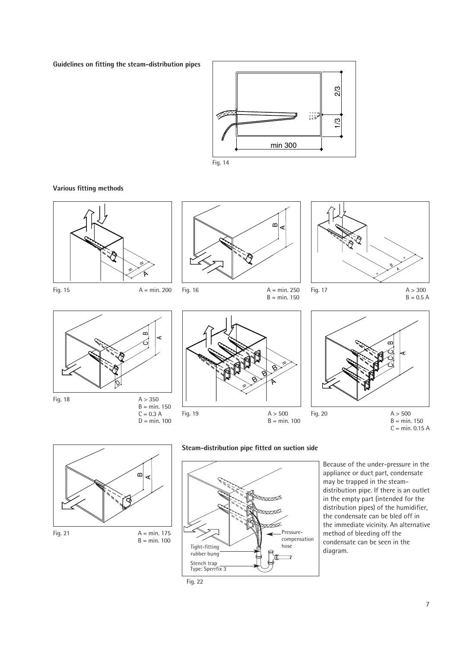**Guidelines on fitting the steam-distribution pipes**



 $B = min. 150$ 

Fig. 14

**Various fitting methods**





Fig. 16  $A = min. 250$ 





 $C = 0.3 A$  $D = min. 100$ 







**Steam-distribution pipe fitted on suction side**



Because of the under-pressure in the appliance or duct part, condensate may be trapped in the steamdistribution pipe. If there is an outlet in the empty part (intended for the distribution pipes) of the humidifier, the condensate can be bled off in the immediate vicinity. An alternative method of bleeding off the condensate can be seen in the diagram.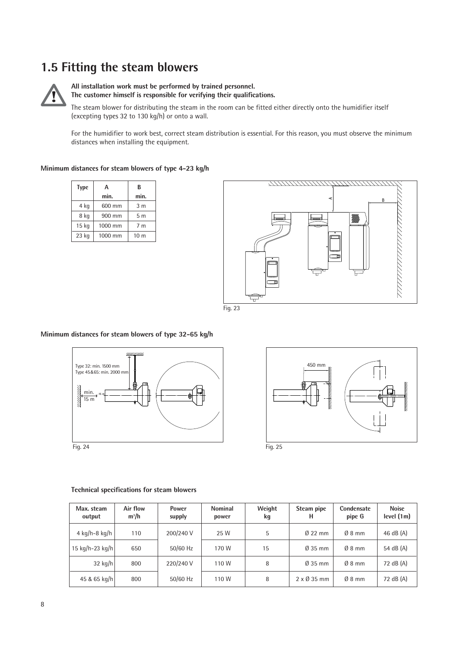# **1.5 Fitting the steam blowers**



### **All installation work must be performed by trained personnel. The customer himself is responsible for verifying their qualifications.**

The steam blower for distributing the steam in the room can be fitted either directly onto the humidifier itself (excepting types 32 to 130 kg/h) or onto a wall.

For the humidifier to work best, correct steam distribution is essential. For this reason, you must observe the minimum distances when installing the equipment.

### **Minimum distances for steam blowers of type 4-23 kg/h**

| <b>Type</b> | А       | B               |
|-------------|---------|-----------------|
|             | min.    | min.            |
| 4 kg        | 600 mm  | 3 <sub>m</sub>  |
| 8 kg        | 900 mm  | 5 <sub>m</sub>  |
| 15 kg       | 1000 mm | 7 <sub>m</sub>  |
| 23 kg       | 1000 mm | 10 <sub>m</sub> |





### **Minimum distances for steam blowers of type 32-65 kg/h**





#### **Technical specifications for steam blowers**

| Max. steam<br>output | Air flow<br>$m^3/h$ | <b>Power</b><br>supply | <b>Nominal</b><br>power | Weight<br>kg | Steam pipe<br>н            | Condensate<br>pipe G | <b>Noise</b><br>level(1m) |
|----------------------|---------------------|------------------------|-------------------------|--------------|----------------------------|----------------------|---------------------------|
| 4 kg/h-8 kg/h        | 110                 | 200/240 V              | 25 W                    | 5            | $\varnothing$ 22 mm        | $Ø_8$ mm             | 46 dB (A)                 |
| 15 kg/h-23 kg/h      | 650                 | $50/60$ Hz             | 170 W                   | 15           | $\varnothing$ 35 mm        | $Ø_8$ mm             | 54 dB (A)                 |
| $32$ kg/h            | 800                 | 220/240 V              | 110 W                   | 8            | $\varnothing$ 35 mm        | $Ø_8$ mm             | 72 dB (A)                 |
| 45 & 65 kg/h         | 800                 | $50/60$ Hz             | 110 W                   | 8            | $2 \times \emptyset$ 35 mm | $Ø_8$ mm             | 72 dB (A)                 |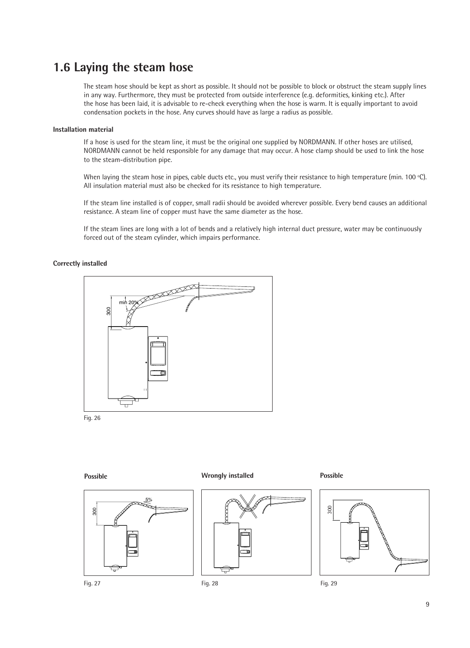# **1.6 Laying the steam hose**

The steam hose should be kept as short as possible. It should not be possible to block or obstruct the steam supply lines in any way. Furthermore, they must be protected from outside interference (e.g. deformities, kinking etc.). After the hose has been laid, it is advisable to re-check everything when the hose is warm. It is equally important to avoid condensation pockets in the hose. Any curves should have as large a radius as possible.

### **Installation material**

If a hose is used for the steam line, it must be the original one supplied by NORDMANN. If other hoses are utilised, NORDMANN cannot be held responsible for any damage that may occur. A hose clamp should be used to link the hose to the steam-distribution pipe.

When laying the steam hose in pipes, cable ducts etc., you must verify their resistance to high temperature (min. 100 °C). All insulation material must also be checked for its resistance to high temperature.

If the steam line installed is of copper, small radii should be avoided wherever possible. Every bend causes an additional resistance. A steam line of copper must have the same diameter as the hose.

If the steam lines are long with a lot of bends and a relatively high internal duct pressure, water may be continuously forced out of the steam cylinder, which impairs performance.

### **Correctly installed**



**Possible Wrongly installed Possible** 

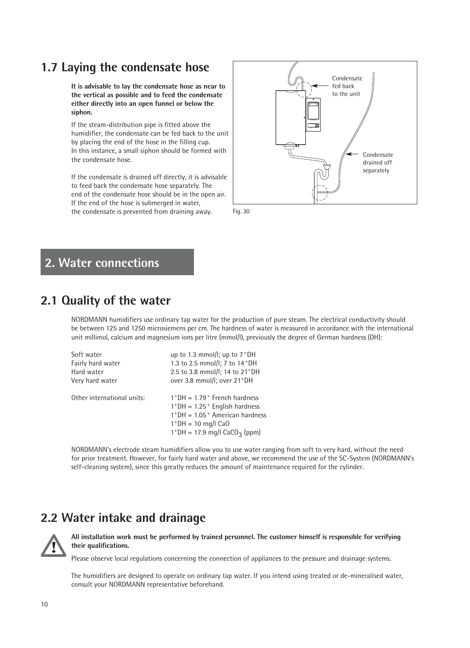# **1.7 Laying the condensate hose**

**It is advisable to lay the condensate hose as near to the vertical as possible and to feed the condensate either directly into an open funnel or below the siphon.**

If the steam-distribution pipe is fitted above the humidifier, the condensate can be fed back to the unit by placing the end of the hose in the filling cup. In this instance, a small siphon should be formed with the condensate hose.

If the condensate is drained off directly, it is advisable to feed back the condensate hose separately. The end of the condensate hose should be in the open air. If the end of the hose is submerged in water, the condensate is prevented from draining away. Fig. 30





# **2. Water connections**

# **2.1 Quality of the water**

NORDMANN humidifiers use ordinary tap water for the production of pure steam. The electrical conductivity should be between 125 and 1250 microsiemens per cm. The hardness of water is measured in accordance with the international unit millimol, calcium and magnesium ions per litre (mmol/l), previously the degree of German hardness (DH):

| Soft water                 | up to 1.3 mmol/l; up to 7°DH                                                                                                                                                                |
|----------------------------|---------------------------------------------------------------------------------------------------------------------------------------------------------------------------------------------|
| Fairly hard water          | 1.3 to 2.5 mmol/l; 7 to 14°DH                                                                                                                                                               |
| Hard water                 | 2.5 to 3.8 mmol/l; 14 to 21°DH                                                                                                                                                              |
| Very hard water            | over 3.8 mmol/l; over 21°DH                                                                                                                                                                 |
| Other international units: | $1^{\circ}$ DH = 1.79 $^{\circ}$ French hardness<br>$1°DH = 1.25°$ English hardness<br>$1°DH = 1.05°$ American hardness<br>$1°DH = 10$ mg/l CaO<br>1°DH = 17.9 mg/l CaCO <sub>3</sub> (ppm) |

NORDMANN's electrode steam humidifiers allow you to use water ranging from soft to very hard, without the need for prior treatment. However, for fairly hard water and above, we recommend the use of the SC-System (NORDMANN's self-cleaning system), since this greatly reduces the amount of maintenance required for the cylinder.

# **2.2 Water intake and drainage**



**All installation work must be performed by trained personnel. The customer himself is responsible for verifying their qualifications.**

Please observe local regulations concerning the connection of appliances to the pressure and drainage systems.

The humidifiers are designed to operate on ordinary tap water. If you intend using treated or de-mineralised water, consult your NORDMANN representative beforehand.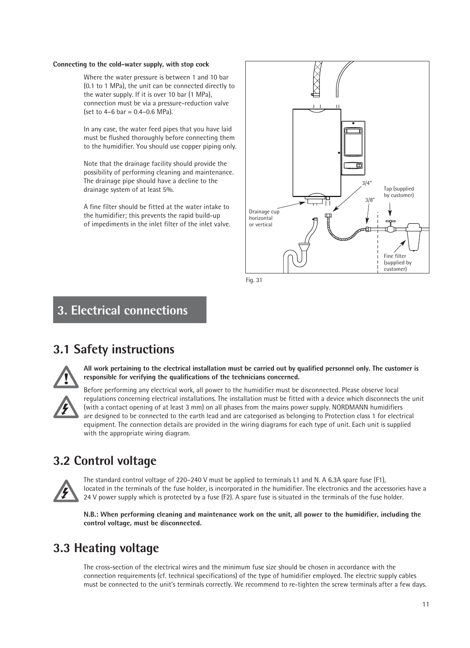### **Connecting to the cold-water supply, with stop cock**

Where the water pressure is between 1 and 10 bar (0.1 to 1 MPa), the unit can be connected directly to the water supply. If it is over 10 bar (1 MPa), connection must be via a pressure-reduction valve  $[set to 4–6 bar = 0.4–0.6 MPa].$ 

In any case, the water feed pipes that you have laid must be flushed thoroughly before connecting them to the humidifier. You should use copper piping only.

Note that the drainage facility should provide the possibility of performing cleaning and maintenance. The drainage pipe should have a decline to the drainage system of at least 5%.

A fine filter should be fitted at the water intake to the humidifier; this prevents the rapid build-up of impediments in the inlet filter of the inlet valve.



Fig. 31

# **3. Electrical connections**

# **3.1 Safety instructions**



**All work pertaining to the electrical installation must be carried out by qualified personnel only. The customer is responsible for verifying the qualifications of the technicians concerned.**

Before performing any electrical work, all power to the humidifier must be disconnected. Please observe local regulations concerning electrical installations. The installation must be fitted with a device which disconnects the unit (with a contact opening of at least 3 mm) on all phases from the mains power supply. NORDMANN humidifiers are designed to be connected to the earth lead and are categorised as belonging to Protection class 1 for electrical equipment. The connection details are provided in the wiring diagrams for each type of unit. Each unit is supplied with the appropriate wiring diagram.

# **3.2 Control voltage**



The standard control voltage of 220–240 V must be applied to terminals L1 and N. A 6.3A spare fuse (F1), located in the terminals of the fuse holder, is incorporated in the humidifier. The electronics and the accessories have a 24 V power supply which is protected by a fuse (F2). A spare fuse is situated in the terminals of the fuse holder.

**N.B.: When performing cleaning and maintenance work on the unit, all power to the humidifier, including the control voltage, must be disconnected.**

# **3.3 Heating voltage**

The cross-section of the electrical wires and the minimum fuse size should be chosen in accordance with the connection requirements (cf. technical specifications) of the type of humidifier employed. The electric supply cables must be connected to the unit's terminals correctly. We recommend to re-tighten the screw terminals after a few days.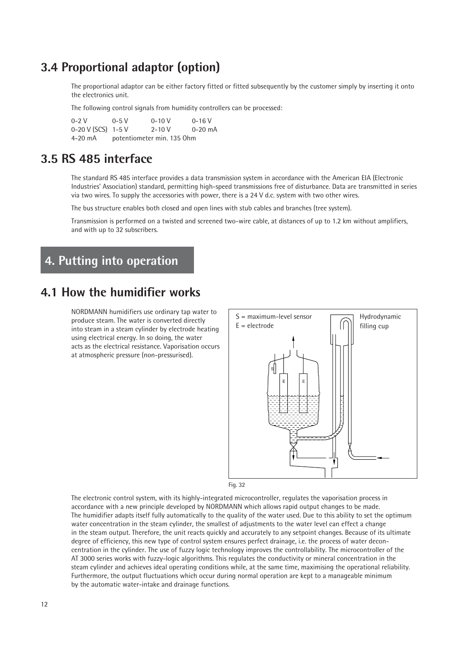# **3.4 Proportional adaptor (option)**

The proportional adaptor can be either factory fitted or fitted subsequently by the customer simply by inserting it onto the electronics unit.

The following control signals from humidity controllers can be processed:

| $0 - 2V$           | $0 - 5 V$                  | $0 - 10 V$ | $0 - 16$ V  |  |  |  |  |  |  |
|--------------------|----------------------------|------------|-------------|--|--|--|--|--|--|
| 0-20 V (SCS) 1-5 V |                            | $2 - 10 V$ | $0 - 20$ mA |  |  |  |  |  |  |
| 4-20 mA            | potentiometer min. 135 Ohm |            |             |  |  |  |  |  |  |

# **3.5 RS 485 interface**

The standard RS 485 interface provides a data transmission system in accordance with the American EIA (Electronic Industries' Association) standard, permitting high-speed transmissions free of disturbance. Data are transmitted in series via two wires. To supply the accessories with power, there is a 24 V d.c. system with two other wires.

The bus structure enables both closed and open lines with stub cables and branches (tree system).

Transmission is performed on a twisted and screened two-wire cable, at distances of up to 1.2 km without amplifiers, and with up to 32 subscribers.

# **4. Putting into operation**

# **4.1 How the humidifier works**

NORDMANN humidifiers use ordinary tap water to produce steam. The water is converted directly into steam in a steam cylinder by electrode heating using electrical energy. In so doing, the water acts as the electrical resistance. Vaporisation occurs at atmospheric pressure (non-pressurised).



Fig. 32

The electronic control system, with its highly-integrated microcontroller, regulates the vaporisation process in accordance with a new principle developed by NORDMANN which allows rapid output changes to be made. The humidifier adapts itself fully automatically to the quality of the water used. Due to this ability to set the optimum water concentration in the steam cylinder, the smallest of adjustments to the water level can effect a change in the steam output. Therefore, the unit reacts quickly and accurately to any setpoint changes. Because of its ultimate degree of efficiency, this new type of control system ensures perfect drainage, i.e. the process of water deconcentration in the cylinder. The use of fuzzy logic technology improves the controllability. The microcontroller of the AT 3000 series works with fuzzy-logic algorithms. This regulates the conductivity or mineral concentration in the steam cylinder and achieves ideal operating conditions while, at the same time, maximising the operational reliability. Furthermore, the output fluctuations which occur during normal operation are kept to a manageable minimum by the automatic water-intake and drainage functions.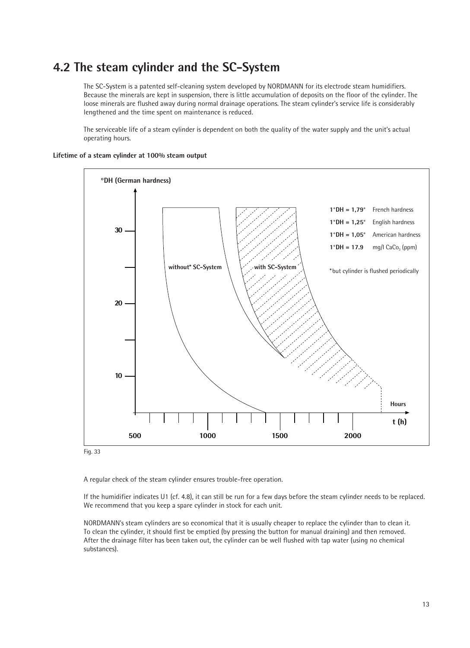# **4.2 The steam cylinder and the SC-System**

The SC-System is a patented self-cleaning system developed by NORDMANN for its electrode steam humidifiers. Because the minerals are kept in suspension, there is little accumulation of deposits on the floor of the cylinder. The loose minerals are flushed away during normal drainage operations. The steam cylinder's service life is considerably lengthened and the time spent on maintenance is reduced.

The serviceable life of a steam cylinder is dependent on both the quality of the water supply and the unit's actual operating hours.



**Lifetime of a steam cylinder at 100% steam output**

Fig. 33

A regular check of the steam cylinder ensures trouble-free operation.

If the humidifier indicates U1 (cf. 4.8), it can still be run for a few days before the steam cylinder needs to be replaced. We recommend that you keep a spare cylinder in stock for each unit.

NORDMANN's steam cylinders are so economical that it is usually cheaper to replace the cylinder than to clean it. To clean the cylinder, it should first be emptied (by pressing the button for manual draining) and then removed. After the drainage filter has been taken out, the cylinder can be well flushed with tap water (using no chemical substances).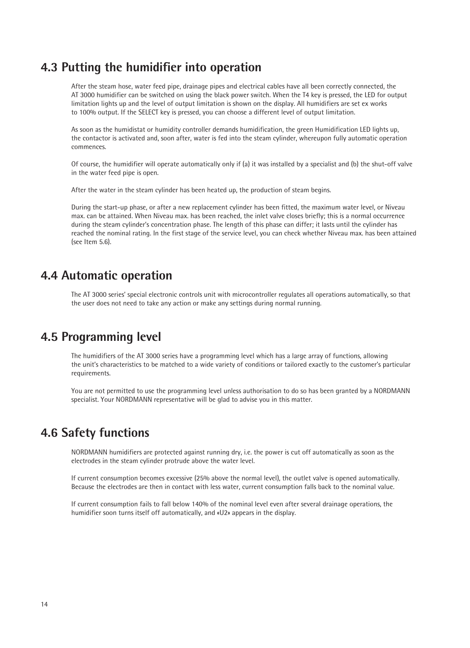# **4.3 Putting the humidifier into operation**

After the steam hose, water feed pipe, drainage pipes and electrical cables have all been correctly connected, the AT 3000 humidifier can be switched on using the black power switch. When the T4 key is pressed, the LED for output limitation lights up and the level of output limitation is shown on the display. All humidifiers are set ex works to 100% output. If the SELECT key is pressed, you can choose a different level of output limitation.

As soon as the humidistat or humidity controller demands humidification, the green Humidification LED lights up, the contactor is activated and, soon after, water is fed into the steam cylinder, whereupon fully automatic operation commences.

Of course, the humidifier will operate automatically only if (a) it was installed by a specialist and (b) the shut-off valve in the water feed pipe is open.

After the water in the steam cylinder has been heated up, the production of steam begins.

During the start-up phase, or after a new replacement cylinder has been fitted, the maximum water level, or Niveau max. can be attained. When Niveau max. has been reached, the inlet valve closes briefly; this is a normal occurrence during the steam cylinder's concentration phase. The length of this phase can differ; it lasts until the cylinder has reached the nominal rating. In the first stage of the service level, you can check whether Niveau max. has been attained (see Item 5.6).

# **4.4 Automatic operation**

The AT 3000 series' special electronic controls unit with microcontroller regulates all operations automatically, so that the user does not need to take any action or make any settings during normal running.

# **4.5 Programming level**

The humidifiers of the AT 3000 series have a programming level which has a large array of functions, allowing the unit's characteristics to be matched to a wide variety of conditions or tailored exactly to the customer's particular requirements.

You are not permitted to use the programming level unless authorisation to do so has been granted by a NORDMANN specialist. Your NORDMANN representative will be glad to advise you in this matter.

# **4.6 Safety functions**

NORDMANN humidifiers are protected against running dry, i.e. the power is cut off automatically as soon as the electrodes in the steam cylinder protrude above the water level.

If current consumption becomes excessive (25% above the normal level), the outlet valve is opened automatically. Because the electrodes are then in contact with less water, current consumption falls back to the nominal value.

If current consumption fails to fall below 140% of the nominal level even after several drainage operations, the humidifier soon turns itself off automatically, and «U2» appears in the display.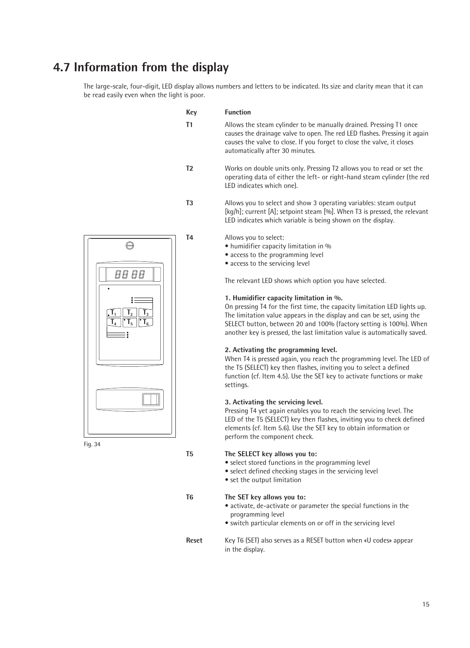# **4.7 Information from the display**

The large-scale, four-digit, LED display allows numbers and letters to be indicated. Its size and clarity mean that it can be read easily even when the light is poor.

|                                                  | <b>Key</b>     | <b>Function</b>                                                                                                                                                                                                                                                                                                                                                                                                                                                                                                                                                                                                                                                                                                                                                                                                                                                                                                                                                                                                                                                                                |
|--------------------------------------------------|----------------|------------------------------------------------------------------------------------------------------------------------------------------------------------------------------------------------------------------------------------------------------------------------------------------------------------------------------------------------------------------------------------------------------------------------------------------------------------------------------------------------------------------------------------------------------------------------------------------------------------------------------------------------------------------------------------------------------------------------------------------------------------------------------------------------------------------------------------------------------------------------------------------------------------------------------------------------------------------------------------------------------------------------------------------------------------------------------------------------|
|                                                  | T1             | Allows the steam cylinder to be manually drained. Pressing T1 once<br>causes the drainage valve to open. The red LED flashes. Pressing it again<br>causes the valve to close. If you forget to close the valve, it closes<br>automatically after 30 minutes.                                                                                                                                                                                                                                                                                                                                                                                                                                                                                                                                                                                                                                                                                                                                                                                                                                   |
|                                                  | T <sub>2</sub> | Works on double units only. Pressing T2 allows you to read or set the<br>operating data of either the left- or right-hand steam cylinder (the red<br>LED indicates which one).                                                                                                                                                                                                                                                                                                                                                                                                                                                                                                                                                                                                                                                                                                                                                                                                                                                                                                                 |
|                                                  | T <sub>3</sub> | Allows you to select and show 3 operating variables: steam output<br>[kg/h]; current [A]; setpoint steam [%]. When T3 is pressed, the relevant<br>LED indicates which variable is being shown on the display.                                                                                                                                                                                                                                                                                                                                                                                                                                                                                                                                                                                                                                                                                                                                                                                                                                                                                  |
| ⊜<br>88 88<br>T <sub>5</sub><br>$\mathbf{I}_{6}$ | T <sub>4</sub> | Allows you to select:<br>• humidifier capacity limitation in %<br>• access to the programming level<br>• access to the servicing level<br>The relevant LED shows which option you have selected.<br>1. Humidifier capacity limitation in %.<br>On pressing T4 for the first time, the capacity limitation LED lights up.<br>The limitation value appears in the display and can be set, using the<br>SELECT button, between 20 and 100% (factory setting is 100%). When<br>another key is pressed, the last limitation value is automatically saved.<br>2. Activating the programming level.<br>When T4 is pressed again, you reach the programming level. The LED of<br>the T5 (SELECT) key then flashes, inviting you to select a defined<br>function (cf. Item 4.5). Use the SET key to activate functions or make<br>settings.<br>3. Activating the servicing level.<br>Pressing T4 yet again enables you to reach the servicing level. The<br>LED of the T5 (SELECT) key then flashes, inviting you to check defined<br>elements (cf. Item 5.6). Use the SET key to obtain information or |
|                                                  | T <sub>5</sub> | perform the component check.<br>The SELECT key allows you to:                                                                                                                                                                                                                                                                                                                                                                                                                                                                                                                                                                                                                                                                                                                                                                                                                                                                                                                                                                                                                                  |

• select stored functions in the programming level

- select defined checking stages in the servicing level
- set the output limitation
- 

Fig. 34

# **T6 The SET key allows you to:**

- activate, de-activate or parameter the special functions in the programming level
- switch particular elements on or off in the servicing level
- **Reset** Key T6 (SET) also serves as a RESET button when «U codes» appear in the display.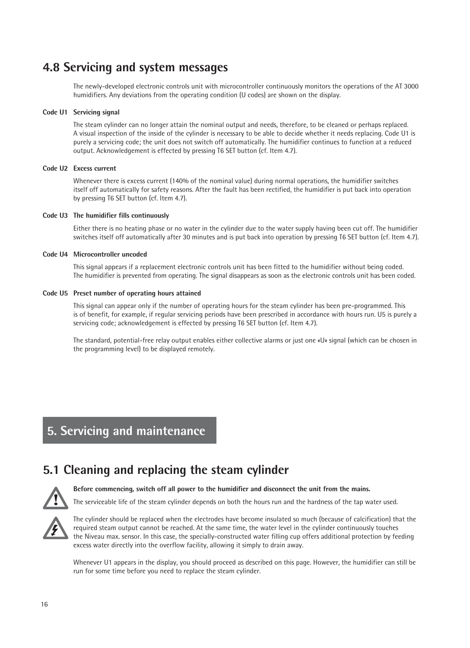# **4.8 Servicing and system messages**

The newly-developed electronic controls unit with microcontroller continuously monitors the operations of the AT 3000 humidifiers. Any deviations from the operating condition (U codes) are shown on the display.

### **Code U1 Servicing signal**

The steam cylinder can no longer attain the nominal output and needs, therefore, to be cleaned or perhaps replaced. A visual inspection of the inside of the cylinder is necessary to be able to decide whether it needs replacing. Code U1 is purely a servicing code; the unit does not switch off automatically. The humidifier continues to function at a reduced output. Acknowledgement is effected by pressing T6 SET button (cf. Item 4.7).

### **Code U2 Excess current**

Whenever there is excess current (140% of the nominal value) during normal operations, the humidifier switches itself off automatically for safety reasons. After the fault has been rectified, the humidifier is put back into operation by pressing T6 SET button (cf. Item 4.7).

### **Code U3 The humidifier fills continuously**

Either there is no heating phase or no water in the cylinder due to the water supply having been cut off. The humidifier switches itself off automatically after 30 minutes and is put back into operation by pressing T6 SET button (cf. Item 4.7).

### **Code U4 Microcontroller uncoded**

This signal appears if a replacement electronic controls unit has been fitted to the humidifier without being coded. The humidifier is prevented from operating. The signal disappears as soon as the electronic controls unit has been coded.

### **Code U5 Preset number of operating hours attained**

This signal can appear only if the number of operating hours for the steam cylinder has been pre-programmed. This is of benefit, for example, if regular servicing periods have been prescribed in accordance with hours run. U5 is purely a servicing code; acknowledgement is effected by pressing T6 SET button (cf. Item 4.7).

The standard, potential-free relay output enables either collective alarms or just one «U» signal (which can be chosen in the programming level) to be displayed remotely.

# **5. Servicing and maintenance**

# **5.1 Cleaning and replacing the steam cylinder**



#### **Before commencing, switch off all power to the humidifier and disconnect the unit from the mains.**

The serviceable life of the steam cylinder depends on both the hours run and the hardness of the tap water used.



The cylinder should be replaced when the electrodes have become insulated so much (because of calcification) that the required steam output cannot be reached. At the same time, the water level in the cylinder continuously touches the Niveau max. sensor. In this case, the specially-constructed water filling cup offers additional protection by feeding excess water directly into the overflow facility, allowing it simply to drain away.

Whenever U1 appears in the display, you should proceed as described on this page. However, the humidifier can still be run for some time before you need to replace the steam cylinder.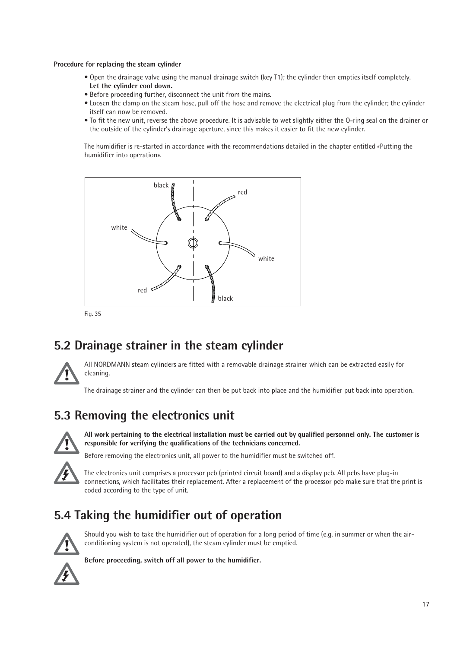### **Procedure for replacing the steam cylinder**

- Open the drainage valve using the manual drainage switch (key T1); the cylinder then empties itself completely. **Let the cylinder cool down.**
- Before proceeding further, disconnect the unit from the mains.
- Loosen the clamp on the steam hose, pull off the hose and remove the electrical plug from the cylinder; the cylinder itself can now be removed.
- To fit the new unit, reverse the above procedure. It is advisable to wet slightly either the O-ring seal on the drainer or the outside of the cylinder's drainage aperture, since this makes it easier to fit the new cylinder.

The humidifier is re-started in accordance with the recommendations detailed in the chapter entitled «Putting the humidifier into operation».



# **5.2 Drainage strainer in the steam cylinder**



All NORDMANN steam cylinders are fitted with a removable drainage strainer which can be extracted easily for cleaning.

The drainage strainer and the cylinder can then be put back into place and the humidifier put back into operation.

# **5.3 Removing the electronics unit**



**All work pertaining to the electrical installation must be carried out by qualified personnel only. The customer is responsible for verifying the qualifications of the technicians concerned.**

Before removing the electronics unit, all power to the humidifier must be switched off.



The electronics unit comprises a processor pcb (printed circuit board) and a display pcb. All pcbs have plug-in connections, which facilitates their replacement. After a replacement of the processor pcb make sure that the print is coded according to the type of unit.

# **5.4 Taking the humidifier out of operation**



Should you wish to take the humidifier out of operation for a long period of time (e.g. in summer or when the airconditioning system is not operated), the steam cylinder must be emptied.

**Before proceeding, switch off all power to the humidifier.**

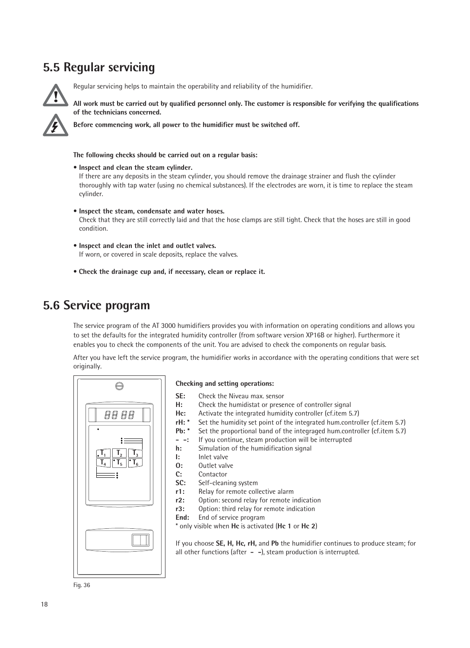# **5.5 Regular servicing**



Regular servicing helps to maintain the operability and reliability of the humidifier.

**All work must be carried out by qualified personnel only. The customer is responsible for verifying the qualifications of the technicians concerned.**

**Before commencing work, all power to the humidifier must be switched off.**

#### **The following checks should be carried out on a regular basis:**

- **Inspect and clean the steam cylinder.** If there are any deposits in the steam cylinder, you should remove the drainage strainer and flush the cylinder thoroughly with tap water (using no chemical substances). If the electrodes are worn, it is time to replace the steam cylinder.
- **Inspect the steam, condensate and water hoses.** Check that they are still correctly laid and that the hose clamps are still tight. Check that the hoses are still in good condition.
- **Inspect and clean the inlet and outlet valves.** If worn, or covered in scale deposits, replace the valves.
- **Check the drainage cup and, if necessary, clean or replace it.**

# **5.6 Service program**

The service program of the AT 3000 humidifiers provides you with information on operating conditions and allows you to set the defaults for the integrated humidity controller (from software version XP16B or higher). Furthermore it enables you to check the components of the unit. You are advised to check the components on regular basis.

After you have left the service program, the humidifier works in accordance with the operating conditions that were set originally.



#### **Checking and setting operations:**

- **SE:** Check the Niveau max. sensor **H:** Check the humidistat or presence of controller signal **Hc:** Activate the integrated humidity controller (cf.item 5.7)<br>**rH:** \* Set the humidity set point of the integrated hum.contro **rH:** \* Set the humidity set point of the integrated hum.controller (cf.item 5.7)<br>**Pb:** \* Set the proportional band of the integraged hum.controller (cf.item 5.7) Set the proportional band of the integraged hum.controller (cf.item 5.7) **- -:** If you continue, steam production will be interrupted **h:** Simulation of the humidification signal **I:** Inlet valve **O:** Outlet valve **C:** Contactor **SC:** Self-cleaning system
- **r1:** Relay for remote collective alarm<br>**r2:** Option: second relay for remote i
- **r2:** Option: second relay for remote indication<br>**r3:** Option: third relay for remote indication **r3:** Option: third relay for remote indication
- **End:** End of service program

\* only visible when **Hc** is activated (**Hc 1** or **Hc 2**)

If you choose **SE, H, Hc, rH,** and **Pb** the humidifier continues to produce steam; for all other functions (after **- -**), steam production is interrupted.

Fig. 36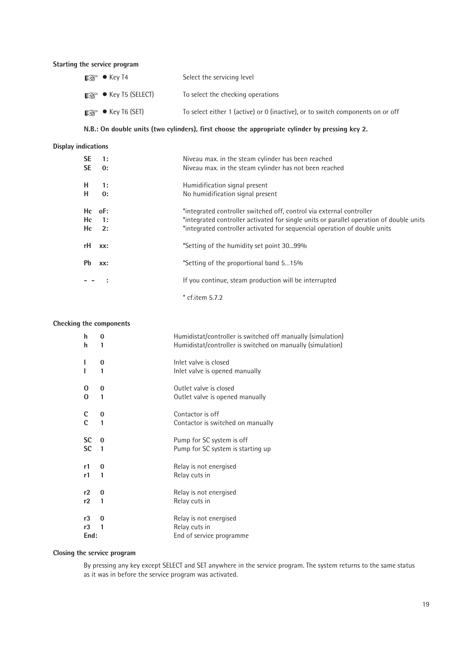# **Starting the service program**

| $\mathbb{R}$ $\bullet$ Key T4          | Select the servicing level                                                     |
|----------------------------------------|--------------------------------------------------------------------------------|
| $\mathbb{R}$ $\bullet$ Key T5 (SELECT) | To select the checking operations                                              |
| $\mathbb{R}$ $\bullet$ Key T6 (SET)    | To select either 1 (active) or 0 (inactive), or to switch components on or off |

# **N.B.: On double units (two cylinders), first choose the appropriate cylinder by pressing key 2.**

# **Display indications**

| SE        | 1:         | Niveau max. in the steam cylinder has been reached                                      |
|-----------|------------|-----------------------------------------------------------------------------------------|
| <b>SE</b> | 0:         | Niveau max. in the steam cylinder has not been reached                                  |
| н.        | 1:         | Humidification signal present                                                           |
| н         | 0:         | No humidification signal present                                                        |
| Hc        | $oF$ :     | *integrated controller switched off, control via external controller                    |
|           | Hc 1:      | *integrated controller activated for single units or parallel operation of double units |
|           | $He = 2$ : | *integrated controller activated for sequencial operation of double units               |
| rH        | XX:        | *Setting of the humidity set point 3099%                                                |
| <b>Pb</b> | XX:        | *Setting of the proportional band 515%                                                  |
|           |            | If you continue, steam production will be interrupted                                   |
|           |            | $*$ cf.item 5.7.2                                                                       |

#### **Checking the components**

| h                | 0        | Humidistat/controller is switched off manually (simulation) |
|------------------|----------|-------------------------------------------------------------|
| h                | 1        | Humidistat/controller is switched on manually (simulation)  |
|                  | 0<br>1   | Inlet valve is closed<br>Inlet valve is opened manually     |
| 0                | $\bf{0}$ | Outlet valve is closed                                      |
| $\bf{0}$         | 1        | Outlet valve is opened manually                             |
| C                | 0        | Contactor is off                                            |
| $\overline{c}$   | 1        | Contactor is switched on manually                           |
| <b>SC</b>        | $\bf{0}$ | Pump for SC system is off                                   |
| <b>SC</b>        | 1        | Pump for SC system is starting up                           |
| r1               | 0        | Relay is not energised                                      |
| r1               | 1        | Relay cuts in                                               |
| r2               | 0        | Relay is not energised                                      |
| r2               | 1        | Relay cuts in                                               |
| r3<br>r3<br>End: | 0<br>1   |                                                             |

# **Closing the service program**

By pressing any key except SELECT and SET anywhere in the service program. The system returns to the same status as it was in before the service program was activated.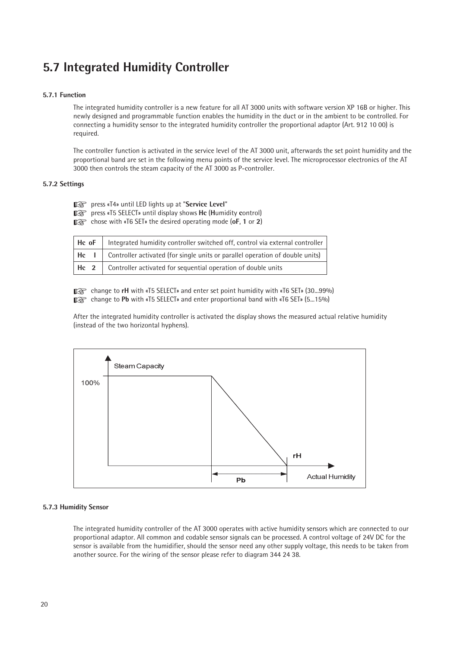# **5.7 Integrated Humidity Controller**

### **5.7.1 Function**

The integrated humidity controller is a new feature for all AT 3000 units with software version XP 16B or higher. This newly designed and programmable function enables the humidity in the duct or in the ambient to be controlled. For connecting a humidity sensor to the integrated humidity controller the proportional adaptor (Art. 912 10 00) is required.

The controller function is activated in the service level of the AT 3000 unit, afterwards the set point humidity and the proportional band are set in the following menu points of the service level. The microprocessor electronics of the AT 3000 then controls the steam capacity of the AT 3000 as P-controller.

### **5.7.2 Settings**

press «T4» until LED lights up at "**Service Level**" ☞

press «T5 SELECT» until display shows **Hc** (**H**umidity **c**ontrol) ☞

chose with «T6 SET» the desired operating mode (**oF**, **1** or **2**) ☞

| $\vert$ Hc oF $\vert$ Integrated humidity controller switched off, control via external controller       |
|----------------------------------------------------------------------------------------------------------|
| $\vert$ Hc $\vert$ $\vert$ Controller activated (for single units or parallel operation of double units) |
| Hc 2   Controller activated for sequential operation of double units                                     |

**■ set thange to rH** with «T5 SELECT» and enter set point humidity with «T6 SET» (30...99%) regularies to the main with «T5 SELECT» and enter proportional band with «T6 SET» (5...15%)

After the integrated humidity controller is activated the display shows the measured actual relative humidity (instead of the two horizontal hyphens).



### **5.7.3 Humidity Sensor**

The integrated humidity controller of the AT 3000 operates with active humidity sensors which are connected to our proportional adaptor. All common and codable sensor signals can be processed. A control voltage of 24V DC for the sensor is available from the humidifier, should the sensor need any other supply voltage, this needs to be taken from another source. For the wiring of the sensor please refer to diagram 344 24 38.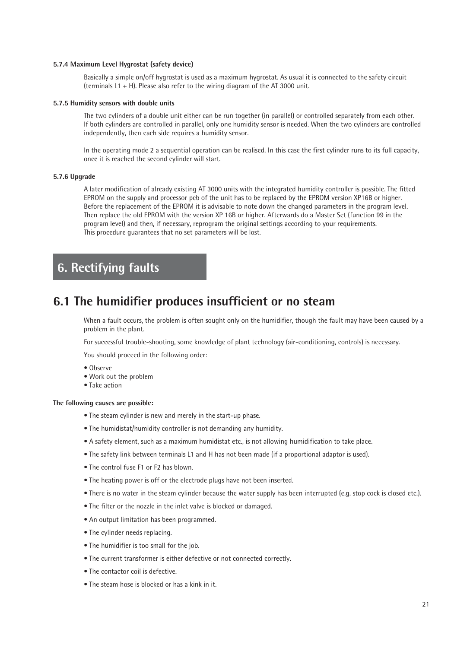#### **5.7.4 Maximum Level Hygrostat (safety device)**

Basically a simple on/off hygrostat is used as a maximum hygrostat. As usual it is connected to the safety circuit (terminals L1 + H). Please also refer to the wiring diagram of the AT 3000 unit.

#### **5.7.5 Humidity sensors with double units**

The two cylinders of a double unit either can be run together (in parallel) or controlled separately from each other. If both cylinders are controlled in parallel, only one humidity sensor is needed. When the two cylinders are controlled independently, then each side requires a humidity sensor.

In the operating mode 2 a sequential operation can be realised. In this case the first cylinder runs to its full capacity, once it is reached the second cylinder will start.

#### **5.7.6 Upgrade**

A later modification of already existing AT 3000 units with the integrated humidity controller is possible. The fitted EPROM on the supply and processor pcb of the unit has to be replaced by the EPROM version XP16B or higher. Before the replacement of the EPROM it is advisable to note down the changed parameters in the program level. Then replace the old EPROM with the version XP 16B or higher. Afterwards do a Master Set (function 99 in the program level) and then, if necessary, reprogram the original settings according to your requirements. This procedure guarantees that no set parameters will be lost.

# **6. Rectifying faults**

# **6.1 The humidifier produces insufficient or no steam**

When a fault occurs, the problem is often sought only on the humidifier, though the fault may have been caused by a problem in the plant.

For successful trouble-shooting, some knowledge of plant technology (air-conditioning, controls) is necessary.

You should proceed in the following order:

- Observe
- Work out the problem
- Take action

### **The following causes are possible:**

- The steam cylinder is new and merely in the start-up phase.
- The humidistat/humidity controller is not demanding any humidity.
- A safety element, such as a maximum humidistat etc., is not allowing humidification to take place.
- The safety link between terminals L1 and H has not been made (if a proportional adaptor is used).
- The control fuse F1 or F2 has blown.
- The heating power is off or the electrode plugs have not been inserted.
- There is no water in the steam cylinder because the water supply has been interrupted (e.g. stop cock is closed etc.).
- The filter or the nozzle in the inlet valve is blocked or damaged.
- An output limitation has been programmed.
- The cylinder needs replacing.
- The humidifier is too small for the job.
- The current transformer is either defective or not connected correctly.
- The contactor coil is defective.
- The steam hose is blocked or has a kink in it.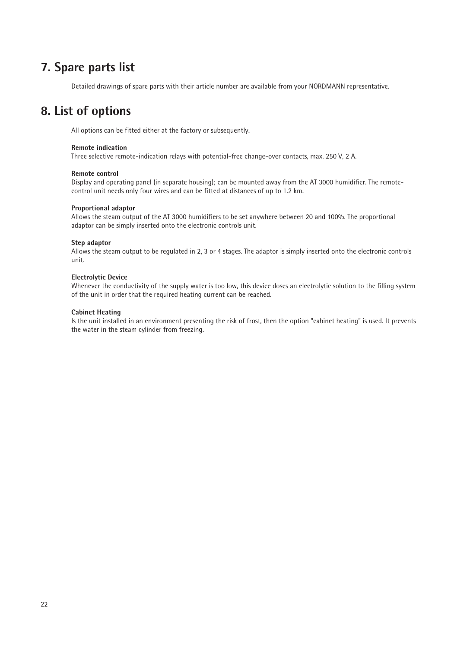# **7. Spare parts list**

Detailed drawings of spare parts with their article number are available from your NORDMANN representative.

# **8. List of options**

All options can be fitted either at the factory or subsequently.

### **Remote indication**

Three selective remote-indication relays with potential-free change-over contacts, max. 250 V, 2 A.

#### **Remote control**

Display and operating panel (in separate housing); can be mounted away from the AT 3000 humidifier. The remotecontrol unit needs only four wires and can be fitted at distances of up to 1.2 km.

#### **Proportional adaptor**

Allows the steam output of the AT 3000 humidifiers to be set anywhere between 20 and 100%. The proportional adaptor can be simply inserted onto the electronic controls unit.

#### **Step adaptor**

Allows the steam output to be regulated in 2, 3 or 4 stages. The adaptor is simply inserted onto the electronic controls unit.

#### **Electrolytic Device**

Whenever the conductivity of the supply water is too low, this device doses an electrolytic solution to the filling system of the unit in order that the required heating current can be reached.

#### **Cabinet Heating**

Is the unit installed in an environment presenting the risk of frost, then the option "cabinet heating" is used. It prevents the water in the steam cylinder from freezing.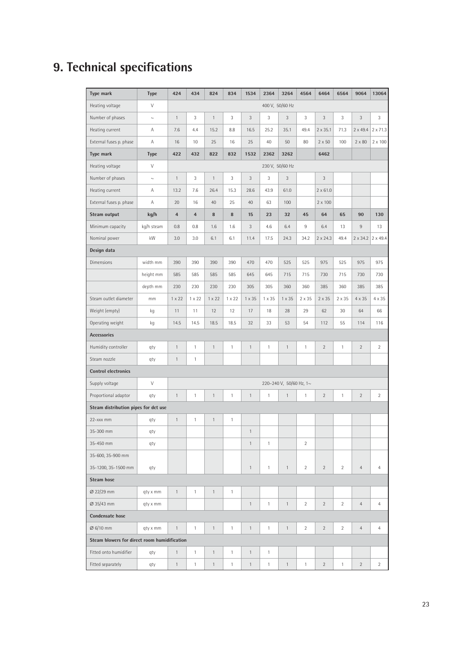# **9. Technical specifications**

| <b>Type mark</b>                             | <b>Type</b>               | 424                     | 434            | 824           | 834           | 1534           | 2364         | 3264                    | 4564           | 6464            | 6564           | 9064            | 13064                           |
|----------------------------------------------|---------------------------|-------------------------|----------------|---------------|---------------|----------------|--------------|-------------------------|----------------|-----------------|----------------|-----------------|---------------------------------|
| Heating voltage                              | $\vee$<br>400 V, 50/60 Hz |                         |                |               |               |                |              |                         |                |                 |                |                 |                                 |
| Number of phases                             | $\sim$                    | $\mathbf{1}$            | 3              | $\mathbf{1}$  | 3             | $\mathfrak{Z}$ | 3            | 3                       | 3              | 3               | 3              | $\mathfrak{Z}$  | 3                               |
| Heating current                              | Α                         | 7.6                     | 4.4            | 15.2          | 8.8           | 16.5           | 25.2         | 35.1                    | 49.4           | $2 \times 35.1$ | 71.3           | $2 \times 49.4$ | $2 \times 71.3$                 |
| External fuses p. phase                      | Α                         | 16                      | 10             | 25            | 16            | 25             | 40           | 50                      | 80             | $2 \times 50$   | 100            | $2 \times 80$   | $2 \times 100$                  |
| <b>Type mark</b>                             | <b>Type</b>               | 422                     | 432            | 822           | 832           | 1532           | 2362         | 3262                    |                | 6462            |                |                 |                                 |
| Heating voltage                              | $\vee$                    |                         |                |               |               |                |              | 230 V, 50/60 Hz         |                |                 |                |                 |                                 |
| Number of phases                             | $\sim$                    | $\mathbf{1}$            | 3              | $\mathbf{1}$  | 3             | 3              | 3            | 3                       |                | 3               |                |                 |                                 |
| Heating current                              | Α                         | 13.2                    | 7.6            | 26.4          | 15.3          | 28.6           | 43.9         | 61.0                    |                | $2 \times 61.0$ |                |                 |                                 |
| External fuses p. phase                      | Α                         | 20                      | 16             | 40            | 25            | 40             | 63           | 100                     |                | $2 \times 100$  |                |                 |                                 |
| Steam output                                 | kg/h                      | $\overline{\mathbf{4}}$ | $\overline{4}$ | 8             | $\bf 8$       | 15             | 23           | 32                      | 45             | 64              | 65             | 90              | 130                             |
| Minimum capacity                             | kg/h steam                | 0.8                     | 0.8            | 1.6           | 1.6           | 3              | 4.6          | 6.4                     | 9              | 6.4             | 13             | $9\,$           | 13                              |
| Nominal power                                | kW                        | 3.0                     | 3.0            | 6.1           | 6.1           | 11.4           | 17.5         | 24.3                    | 34.2           | $2 \times 24.3$ | 49.4           |                 | $2 \times 34.2$ 2 $\times 49.4$ |
| Design data                                  |                           |                         |                |               |               |                |              |                         |                |                 |                |                 |                                 |
| <b>Dimensions</b>                            | width mm                  | 390                     | 390            | 390           | 390           | 470            | 470          | 525                     | 525            | 975             | 525            | 975             | 975                             |
|                                              | height mm                 | 585                     | 585            | 585           | 585           | 645            | 645          | 715                     | 715            | 730             | 715            | 730             | 730                             |
|                                              | depth mm                  | 230                     | 230            | 230           | 230           | 305            | 305          | 360                     | 360            | 385             | 360            | 385             | 385                             |
| Steam outlet diameter                        | mm                        | $1 \times 22$           | $1 \times 22$  | $1 \times 22$ | $1 \times 22$ | $1 \times 35$  | 1 x 35       | $1 \times 35$           | $2 \times 35$  | $2 \times 35$   | 2 x 35         | 4 x 35          | 4 x 35                          |
| Weight (empty)                               | kg                        | 11                      | 11             | 12            | 12            | 17             | 18           | 28                      | 29             | 62              | 30             | 64              | 66                              |
| Operating weight                             | kg                        | 14.5                    | 14.5           | 18.5          | 18.5          | 32             | 33           | 53                      | 54             | 112             | 55             | 114             | 116                             |
| <b>Accessories</b>                           |                           |                         |                |               |               |                |              |                         |                |                 |                |                 |                                 |
| Humidity controller                          | qty                       | $\mathbf{1}$            | $\mathbf{1}$   | $\mathbf{1}$  | $\mathbf{1}$  | $\mathbf{1}$   | $\mathbf{1}$ | $\mathbf{1}$            | $\mathbf{1}$   | $\overline{2}$  | $\mathbf{1}$   | $\overline{2}$  | $\overline{2}$                  |
| Steam nozzle                                 | qty                       | $\mathbf{1}$            | $\mathbf{1}$   |               |               |                |              |                         |                |                 |                |                 |                                 |
| <b>Control electronics</b>                   |                           |                         |                |               |               |                |              |                         |                |                 |                |                 |                                 |
| Supply voltage                               | V                         |                         |                |               |               |                |              | 220-240 V, 50/60 Hz, 1~ |                |                 |                |                 |                                 |
| Proportional adaptor                         | qty                       | $\mathbf{1}$            | $\mathbf{1}$   | $\mathbf{1}$  | 1             | $\mathbf{1}$   | $\mathbf{1}$ | $\mathbf{1}$            | 1              | $\overline{2}$  | $\mathbf{1}$   | $\sqrt{2}$      | $\overline{2}$                  |
| Steam distribution pipes for dct use         |                           |                         |                |               |               |                |              |                         |                |                 |                |                 |                                 |
| 22-xxx mm                                    | qty                       | $\mathbf{1}$            | $\mathbf{1}$   | $\mathbf{1}$  | $\mathbf{1}$  |                |              |                         |                |                 |                |                 |                                 |
| 35-300 mm                                    | qty                       |                         |                |               |               | $\mathbf{1}$   |              |                         |                |                 |                |                 |                                 |
| 35-450 mm                                    | qty                       |                         |                |               |               | $\mathbf{1}$   | $\mathbf{1}$ |                         | $\overline{2}$ |                 |                |                 |                                 |
| 35-600, 35-900 mm                            |                           |                         |                |               |               |                |              |                         |                |                 |                |                 |                                 |
| 35-1200, 35-1500 mm                          | qty                       |                         |                |               |               | $\mathbf{1}$   | 1            | $\mathbf{1}$            | $\overline{2}$ | $\overline{2}$  | $\overline{2}$ | $\overline{4}$  | $\overline{4}$                  |
| <b>Steam hose</b>                            |                           |                         |                |               |               |                |              |                         |                |                 |                |                 |                                 |
| Ø 22/29 mm                                   | qty x mm                  | $\mathbf{1}$            | $\mathbf{1}$   | $\mathbf{1}$  | $\mathbf{1}$  |                |              |                         |                |                 |                |                 |                                 |
| Ø 35/43 mm                                   | qty x mm                  |                         |                |               |               | $\mathbf{1}$   | $\mathbf{1}$ | $\mathbf{1}$            | $\overline{2}$ | $\overline{2}$  | $\overline{2}$ | $\overline{4}$  | $\overline{4}$                  |
| <b>Condensate hose</b>                       |                           |                         |                |               |               |                |              |                         |                |                 |                |                 |                                 |
| Ø 6/10 mm                                    | qty x mm                  | $\mathbf{1}$            | $\mathbf{1}$   | $\mathbf{1}$  | $\mathbf{1}$  | $\mathbf{1}$   | $\mathbf{1}$ | $\mathbf{1}$            | $\overline{2}$ | $\overline{2}$  | $\overline{2}$ | $\overline{4}$  | $\overline{4}$                  |
| Steam blowers for direct room humidification |                           |                         |                |               |               |                |              |                         |                |                 |                |                 |                                 |
| Fitted onto humidifier                       | qty                       | $\mathbf{1}$            | $\mathbf{1}$   | $\mathbf{1}$  | $\mathbf{1}$  | $\mathbf{1}$   | $\mathbf{1}$ |                         |                |                 |                |                 |                                 |
| Fitted separately                            | qty                       | $\mathbf{1}$            | $\mathbf{1}$   | $\mathbf{1}$  | $\mathbf{1}$  | $\mathbf{1}$   | $\mathbf{1}$ | $\mathbf{1}$            | $\mathbf{1}$   | $\overline{2}$  | $\mathbf{1}$   | $\overline{2}$  | $\overline{2}$                  |